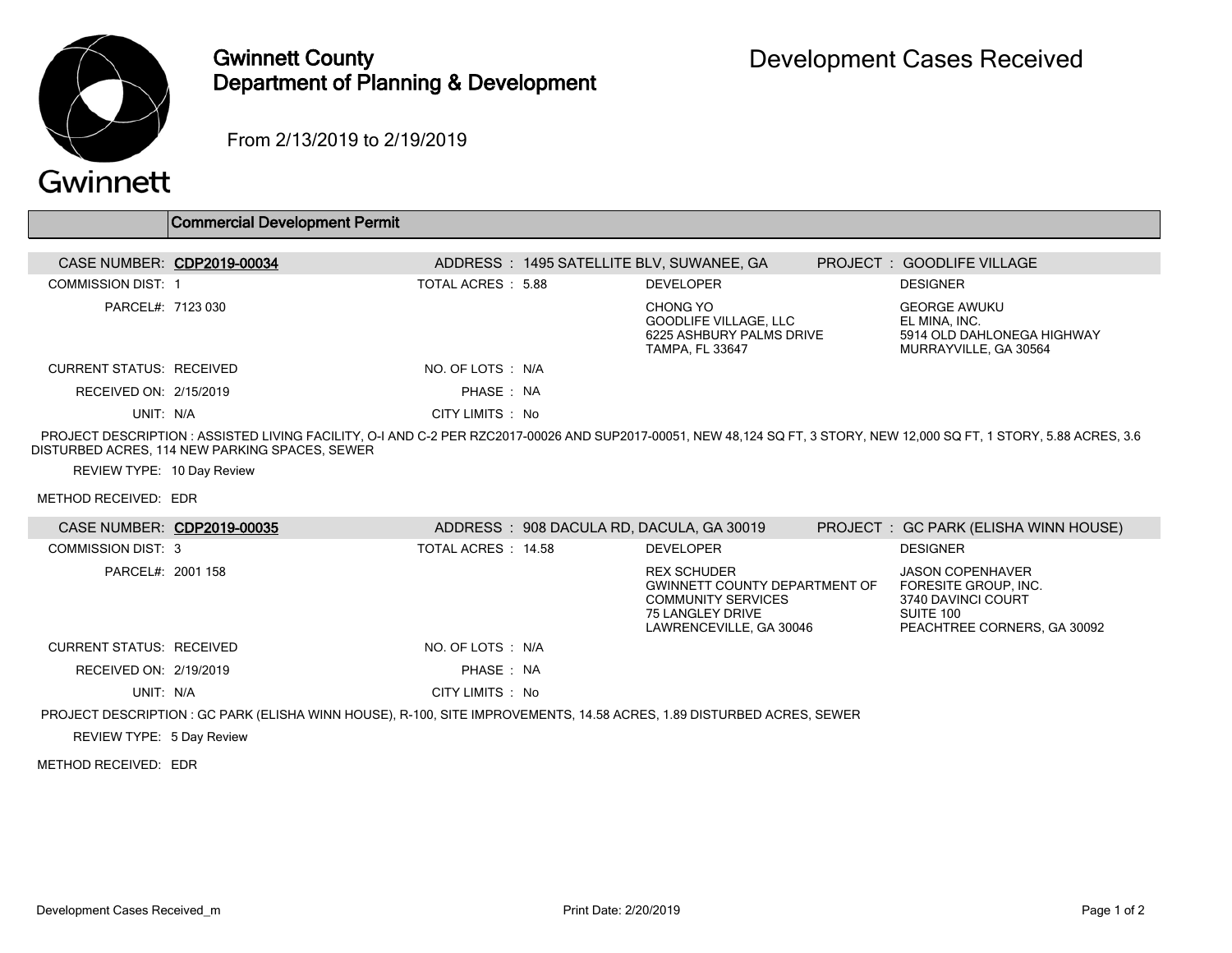

### Gwinnett County Department of Planning & Development

From 2/13/2019 to 2/19/2019

# Gwinnett

| Commercial Development Permit |
|-------------------------------|
|-------------------------------|

| CASE NUMBER: CDP2019-00034      | ADDRESS: 1495 SATELLITE BLV, SUWANEE, GA |                                                                                         | <b>PROJECT: GOODLIFE VILLAGE</b>                                                            |
|---------------------------------|------------------------------------------|-----------------------------------------------------------------------------------------|---------------------------------------------------------------------------------------------|
| <b>COMMISSION DIST. 1</b>       | TOTAL ACRES : 5.88                       | <b>DEVELOPER</b>                                                                        | <b>DESIGNER</b>                                                                             |
| PARCEL#: 7123 030               |                                          | CHONG YO<br>GOODLIFE VILLAGE, LLC<br>6225 ASHBURY PALMS DRIVE<br><b>TAMPA, FL 33647</b> | <b>GEORGE AWUKU</b><br>EL MINA, INC.<br>5914 OLD DAHLONEGA HIGHWAY<br>MURRAYVILLE, GA 30564 |
| <b>CURRENT STATUS: RECEIVED</b> | NO. OF LOTS N/A                          |                                                                                         |                                                                                             |
| RECEIVED ON: 2/15/2019          | PHASE: NA                                |                                                                                         |                                                                                             |
| UNIT: N/A                       | CITY LIMITS : No                         |                                                                                         |                                                                                             |

 PROJECT DESCRIPTION : ASSISTED LIVING FACILITY, O-I AND C-2 PER RZC2017-00026 AND SUP2017-00051, NEW 48,124 SQ FT, 3 STORY, NEW 12,000 SQ FT, 1 STORY, 5.88 ACRES, 3.6 DISTURBED ACRES, 114 NEW PARKING SPACES, SEWER

REVIEW TYPE: 10 Day Review

METHOD RECEIVED: EDR

| CASE NUMBER: CDP2019-00035      |                                                                                                                       |                     | ADDRESS: 908 DACULA RD, DACULA, GA 30019                                                                                               | PROJECT : GC PARK (ELISHA WINN HOUSE)                                                                             |
|---------------------------------|-----------------------------------------------------------------------------------------------------------------------|---------------------|----------------------------------------------------------------------------------------------------------------------------------------|-------------------------------------------------------------------------------------------------------------------|
| <b>COMMISSION DIST: 3</b>       |                                                                                                                       | TOTAL ACRES : 14.58 | <b>DEVELOPER</b>                                                                                                                       | <b>DESIGNER</b>                                                                                                   |
| PARCEL#: 2001 158               |                                                                                                                       |                     | <b>REX SCHUDER</b><br><b>GWINNETT COUNTY DEPARTMENT OF</b><br><b>COMMUNITY SERVICES</b><br>75 LANGLEY DRIVE<br>LAWRENCEVILLE, GA 30046 | <b>JASON COPENHAVER</b><br>FORESITE GROUP, INC.<br>3740 DAVINCI COURT<br>SUITE 100<br>PEACHTREE CORNERS. GA 30092 |
| <b>CURRENT STATUS: RECEIVED</b> |                                                                                                                       | NO. OF LOTS : N/A   |                                                                                                                                        |                                                                                                                   |
| RECEIVED ON: 2/19/2019          |                                                                                                                       | PHASE: NA           |                                                                                                                                        |                                                                                                                   |
| UNIT: N/A                       |                                                                                                                       | CITY LIMITS : No    |                                                                                                                                        |                                                                                                                   |
|                                 | PROJECT DESCRIPTION : GC PARK (ELISHA WINN HOUSE), R-100, SITE IMPROVEMENTS, 14.58 ACRES, 1.89 DISTURBED ACRES, SEWER |                     |                                                                                                                                        |                                                                                                                   |
| REVIEW TYPE: 5 Day Review       |                                                                                                                       |                     |                                                                                                                                        |                                                                                                                   |

#### METHOD RECEIVED: EDR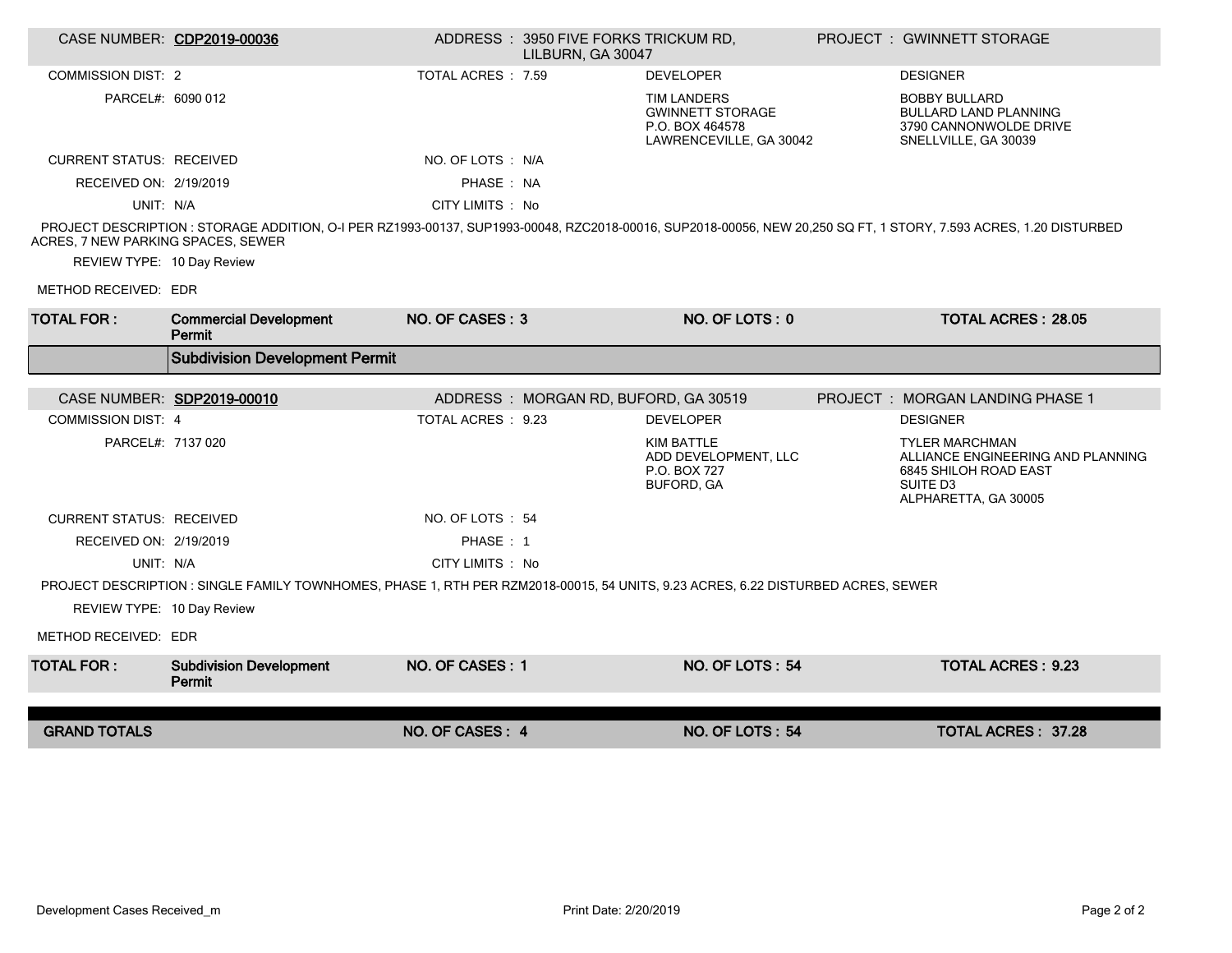|                                    | CASE NUMBER: CDP2019-00036                                                                                                       |                    | ADDRESS: 3950 FIVE FORKS TRICKUM RD,<br>LILBURN, GA 30047 |                                                                                             | <b>PROJECT: GWINNETT STORAGE</b>                                                                                                                                  |
|------------------------------------|----------------------------------------------------------------------------------------------------------------------------------|--------------------|-----------------------------------------------------------|---------------------------------------------------------------------------------------------|-------------------------------------------------------------------------------------------------------------------------------------------------------------------|
| <b>COMMISSION DIST: 2</b>          |                                                                                                                                  | TOTAL ACRES : 7.59 |                                                           | <b>DEVELOPER</b>                                                                            | <b>DESIGNER</b>                                                                                                                                                   |
| PARCEL#: 6090 012                  |                                                                                                                                  |                    |                                                           | <b>TIM LANDERS</b><br><b>GWINNETT STORAGE</b><br>P.O. BOX 464578<br>LAWRENCEVILLE, GA 30042 | <b>BOBBY BULLARD</b><br><b>BULLARD LAND PLANNING</b><br>3790 CANNONWOLDE DRIVE<br>SNELLVILLE, GA 30039                                                            |
| <b>CURRENT STATUS: RECEIVED</b>    |                                                                                                                                  | NO. OF LOTS : N/A  |                                                           |                                                                                             |                                                                                                                                                                   |
| RECEIVED ON: 2/19/2019             |                                                                                                                                  | PHASE: NA          |                                                           |                                                                                             |                                                                                                                                                                   |
| UNIT: N/A                          |                                                                                                                                  | CITY LIMITS : No   |                                                           |                                                                                             |                                                                                                                                                                   |
| ACRES, 7 NEW PARKING SPACES, SEWER |                                                                                                                                  |                    |                                                           |                                                                                             | PROJECT DESCRIPTION : STORAGE ADDITION, O-I PER RZ1993-00137, SUP1993-00048, RZC2018-00016, SUP2018-00056, NEW 20,250 SQ FT, 1 STORY, 7.593 ACRES, 1.20 DISTURBED |
| REVIEW TYPE: 10 Day Review         |                                                                                                                                  |                    |                                                           |                                                                                             |                                                                                                                                                                   |
| METHOD RECEIVED: EDR               |                                                                                                                                  |                    |                                                           |                                                                                             |                                                                                                                                                                   |
| <b>TOTAL FOR:</b>                  | <b>Commercial Development</b><br>Permit                                                                                          | NO. OF CASES: 3    |                                                           | NO. OF LOTS: 0                                                                              | <b>TOTAL ACRES: 28.05</b>                                                                                                                                         |
|                                    | <b>Subdivision Development Permit</b>                                                                                            |                    |                                                           |                                                                                             |                                                                                                                                                                   |
|                                    |                                                                                                                                  |                    |                                                           |                                                                                             |                                                                                                                                                                   |
|                                    | CASE NUMBER: SDP2019-00010                                                                                                       |                    | ADDRESS: MORGAN RD, BUFORD, GA 30519                      |                                                                                             | <b>PROJECT : MORGAN LANDING PHASE 1</b>                                                                                                                           |
| <b>COMMISSION DIST: 4</b>          |                                                                                                                                  | TOTAL ACRES : 9.23 |                                                           | <b>DEVELOPER</b>                                                                            | <b>DESIGNER</b>                                                                                                                                                   |
| PARCEL#: 7137 020                  |                                                                                                                                  |                    |                                                           | KIM BATTLE<br>ADD DEVELOPMENT, LLC<br>P.O. BOX 727<br><b>BUFORD, GA</b>                     | <b>TYLER MARCHMAN</b><br>ALLIANCE ENGINEERING AND PLANNING<br>6845 SHILOH ROAD EAST<br>SUITE D <sub>3</sub><br>ALPHARETTA, GA 30005                               |
| <b>CURRENT STATUS: RECEIVED</b>    |                                                                                                                                  | NO. OF LOTS: 54    |                                                           |                                                                                             |                                                                                                                                                                   |
| RECEIVED ON: 2/19/2019             |                                                                                                                                  | PHASE: 1           |                                                           |                                                                                             |                                                                                                                                                                   |
| UNIT: N/A                          |                                                                                                                                  | CITY LIMITS : No   |                                                           |                                                                                             |                                                                                                                                                                   |
|                                    | PROJECT DESCRIPTION : SINGLE FAMILY TOWNHOMES, PHASE 1, RTH PER RZM2018-00015, 54 UNITS, 9.23 ACRES, 6.22 DISTURBED ACRES, SEWER |                    |                                                           |                                                                                             |                                                                                                                                                                   |
| REVIEW TYPE: 10 Day Review         |                                                                                                                                  |                    |                                                           |                                                                                             |                                                                                                                                                                   |
| METHOD RECEIVED: EDR               |                                                                                                                                  |                    |                                                           |                                                                                             |                                                                                                                                                                   |
| <b>TOTAL FOR:</b>                  | <b>Subdivision Development</b><br>Permit                                                                                         | NO. OF CASES: 1    |                                                           | NO. OF LOTS: 54                                                                             | <b>TOTAL ACRES: 9.23</b>                                                                                                                                          |
|                                    |                                                                                                                                  |                    |                                                           |                                                                                             |                                                                                                                                                                   |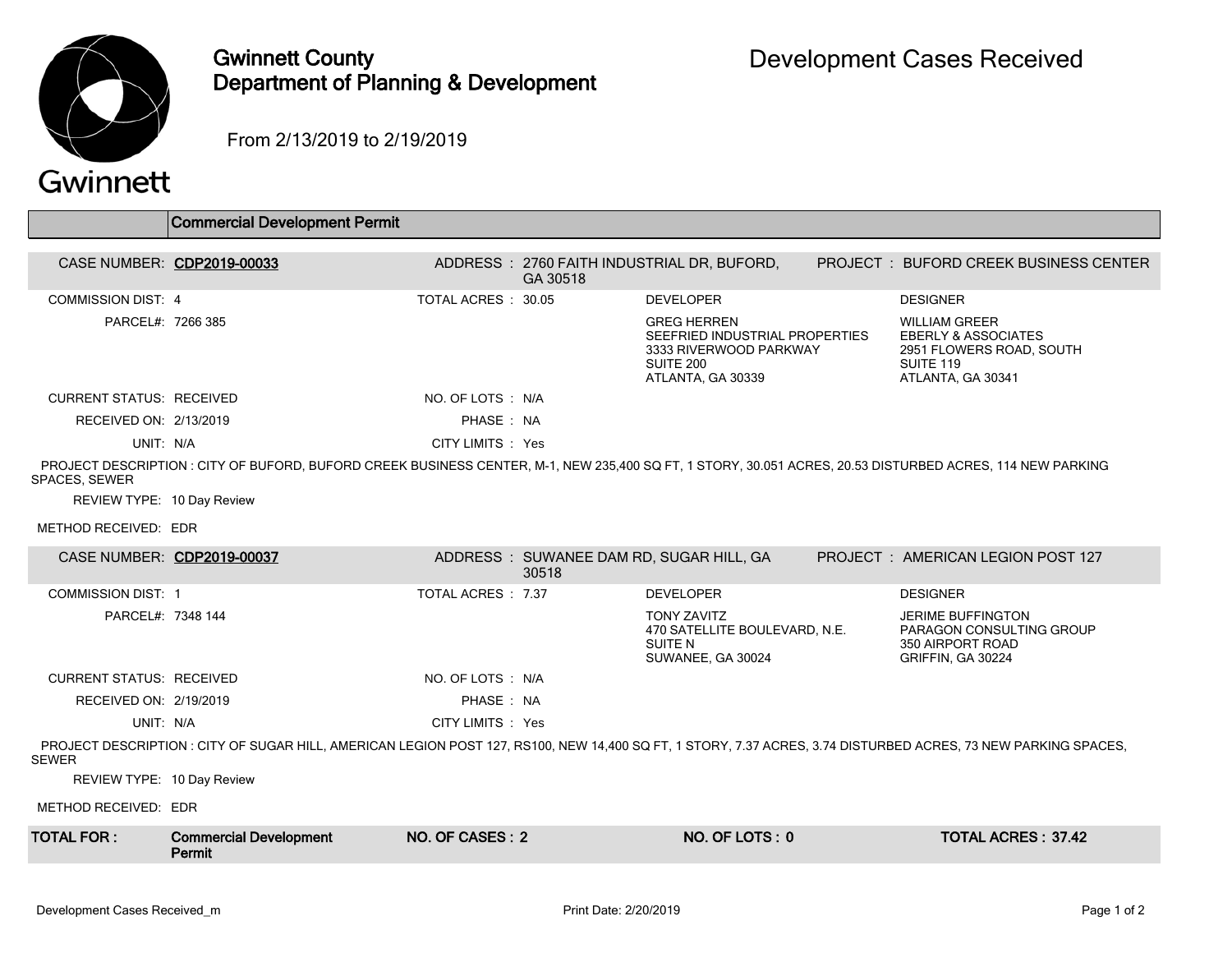

## Gwinnett County Department of Planning & Development

From 2/13/2019 to 2/19/2019

## Gwinnett

|                                 | <b>Commercial Development Permit</b>                                                                                                                          |                    |          |                                                                                                                  |                                                                                                                      |
|---------------------------------|---------------------------------------------------------------------------------------------------------------------------------------------------------------|--------------------|----------|------------------------------------------------------------------------------------------------------------------|----------------------------------------------------------------------------------------------------------------------|
| CASE NUMBER: CDP2019-00033      |                                                                                                                                                               |                    | GA 30518 | ADDRESS: 2760 FAITH INDUSTRIAL DR, BUFORD,                                                                       | <b>PROJECT : BUFORD CREEK BUSINESS CENTER</b>                                                                        |
| <b>COMMISSION DIST: 4</b>       |                                                                                                                                                               | TOTAL ACRES: 30.05 |          | <b>DEVELOPER</b>                                                                                                 | <b>DESIGNER</b>                                                                                                      |
| PARCEL#: 7266 385               |                                                                                                                                                               |                    |          | <b>GREG HERREN</b><br>SEEFRIED INDUSTRIAL PROPERTIES<br>3333 RIVERWOOD PARKWAY<br>SUITE 200<br>ATLANTA, GA 30339 | <b>WILLIAM GREER</b><br><b>EBERLY &amp; ASSOCIATES</b><br>2951 FLOWERS ROAD, SOUTH<br>SUITE 119<br>ATLANTA, GA 30341 |
| <b>CURRENT STATUS: RECEIVED</b> |                                                                                                                                                               | NO. OF LOTS : N/A  |          |                                                                                                                  |                                                                                                                      |
| RECEIVED ON: 2/13/2019          |                                                                                                                                                               | PHASE: NA          |          |                                                                                                                  |                                                                                                                      |
| UNIT: N/A                       |                                                                                                                                                               | CITY LIMITS : Yes  |          |                                                                                                                  |                                                                                                                      |
| <b>SPACES, SEWER</b>            | PROJECT DESCRIPTION : CITY OF BUFORD, BUFORD CREEK BUSINESS CENTER, M-1, NEW 235,400 SQ FT, 1 STORY, 30.051 ACRES, 20.53 DISTURBED ACRES, 114 NEW PARKING     |                    |          |                                                                                                                  |                                                                                                                      |
| REVIEW TYPE: 10 Day Review      |                                                                                                                                                               |                    |          |                                                                                                                  |                                                                                                                      |
| METHOD RECEIVED: EDR            |                                                                                                                                                               |                    |          |                                                                                                                  |                                                                                                                      |
|                                 | CASE NUMBER: CDP2019-00037                                                                                                                                    |                    | 30518    | ADDRESS: SUWANEE DAM RD, SUGAR HILL, GA                                                                          | <b>PROJECT : AMERICAN LEGION POST 127</b>                                                                            |
| <b>COMMISSION DIST: 1</b>       |                                                                                                                                                               | TOTAL ACRES: 7.37  |          | <b>DEVELOPER</b>                                                                                                 | <b>DESIGNER</b>                                                                                                      |
| PARCEL#: 7348 144               |                                                                                                                                                               |                    |          | <b>TONY ZAVITZ</b><br>470 SATELLITE BOULEVARD, N.E.<br><b>SUITE N</b><br>SUWANEE, GA 30024                       | <b>JERIME BUFFINGTON</b><br>PARAGON CONSULTING GROUP<br>350 AIRPORT ROAD<br>GRIFFIN, GA 30224                        |
| <b>CURRENT STATUS: RECEIVED</b> |                                                                                                                                                               | NO. OF LOTS : N/A  |          |                                                                                                                  |                                                                                                                      |
| RECEIVED ON: 2/19/2019          |                                                                                                                                                               | PHASE: NA          |          |                                                                                                                  |                                                                                                                      |
| UNIT: N/A                       |                                                                                                                                                               | CITY LIMITS : Yes  |          |                                                                                                                  |                                                                                                                      |
| <b>SEWER</b>                    | PROJECT DESCRIPTION: CITY OF SUGAR HILL, AMERICAN LEGION POST 127, RS100, NEW 14.400 SQ FT, 1 STORY, 7.37 ACRES, 3.74 DISTURBED ACRES, 73 NEW PARKING SPACES, |                    |          |                                                                                                                  |                                                                                                                      |
| REVIEW TYPE: 10 Day Review      |                                                                                                                                                               |                    |          |                                                                                                                  |                                                                                                                      |
| METHOD RECEIVED: EDR            |                                                                                                                                                               |                    |          |                                                                                                                  |                                                                                                                      |
| <b>TOTAL FOR:</b>               | <b>Commercial Development</b><br>Permit                                                                                                                       | NO. OF CASES: 2    |          | NO. OF LOTS: 0                                                                                                   | <b>TOTAL ACRES: 37.42</b>                                                                                            |